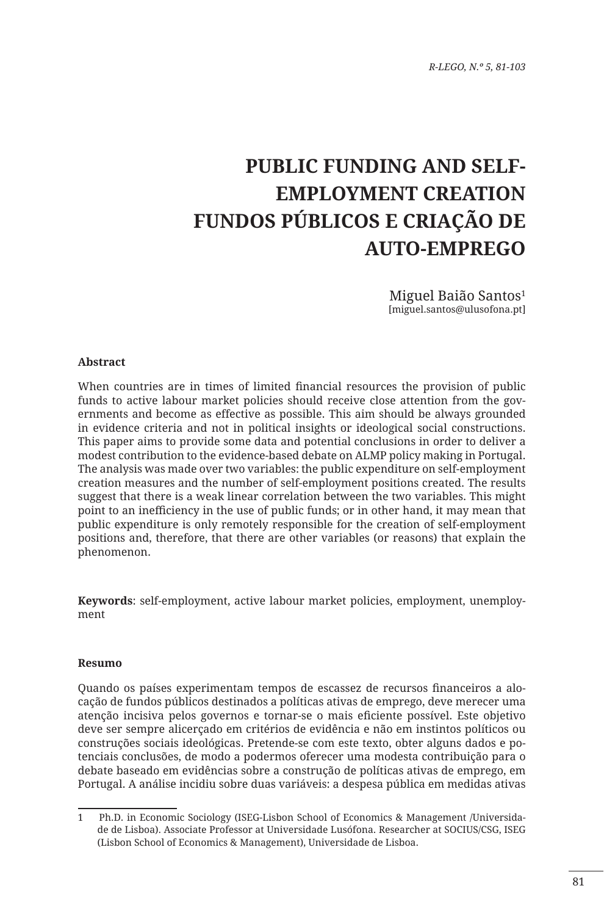# **PUBLIC FUNDING AND SELF-EMPLOYMENT CREATION FUNDOS PÚBLICOS E CRIAÇÃO DE AUTO-EMPREGO**

Miguel Baião Santos<sup>1</sup> [miguel.santos@ulusofona.pt]

#### **Abstract**

When countries are in times of limited financial resources the provision of public funds to active labour market policies should receive close attention from the governments and become as effective as possible. This aim should be always grounded in evidence criteria and not in political insights or ideological social constructions. This paper aims to provide some data and potential conclusions in order to deliver a modest contribution to the evidence-based debate on ALMP policy making in Portugal. The analysis was made over two variables: the public expenditure on self-employment creation measures and the number of self-employment positions created. The results suggest that there is a weak linear correlation between the two variables. This might point to an inefficiency in the use of public funds; or in other hand, it may mean that public expenditure is only remotely responsible for the creation of self-employment positions and, therefore, that there are other variables (or reasons) that explain the phenomenon.

**Keywords**: self-employment, active labour market policies, employment, unemployment

#### **Resumo**

Quando os países experimentam tempos de escassez de recursos financeiros a alocação de fundos públicos destinados a políticas ativas de emprego, deve merecer uma atenção incisiva pelos governos e tornar-se o mais eficiente possível. Este objetivo deve ser sempre alicerçado em critérios de evidência e não em instintos políticos ou construções sociais ideológicas. Pretende-se com este texto, obter alguns dados e potenciais conclusões, de modo a podermos oferecer uma modesta contribuição para o debate baseado em evidências sobre a construção de políticas ativas de emprego, em Portugal. A análise incidiu sobre duas variáveis: a despesa pública em medidas ativas

<sup>1</sup> Ph.D. in Economic Sociology (ISEG-Lisbon School of Economics & Management /Universidade de Lisboa). Associate Professor at Universidade Lusófona. Researcher at SOCIUS/CSG, ISEG (Lisbon School of Economics & Management), Universidade de Lisboa.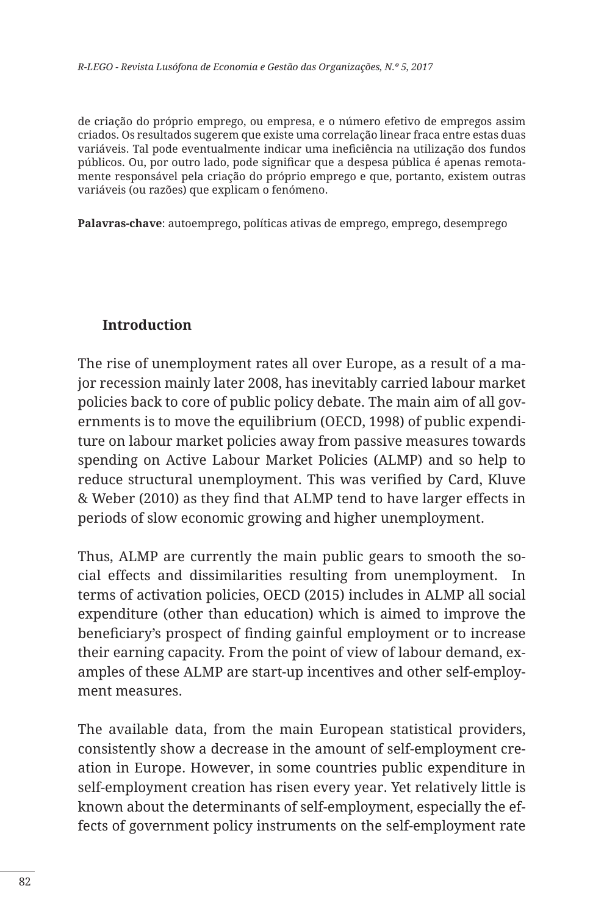de criação do próprio emprego, ou empresa, e o número efetivo de empregos assim criados. Os resultados sugerem que existe uma correlação linear fraca entre estas duas variáveis. Tal pode eventualmente indicar uma ineficiência na utilização dos fundos públicos. Ou, por outro lado, pode significar que a despesa pública é apenas remotamente responsável pela criação do próprio emprego e que, portanto, existem outras variáveis (ou razões) que explicam o fenómeno.

**Palavras-chave**: autoemprego, políticas ativas de emprego, emprego, desemprego

## **Introduction**

The rise of unemployment rates all over Europe, as a result of a major recession mainly later 2008, has inevitably carried labour market policies back to core of public policy debate. The main aim of all governments is to move the equilibrium (OECD, 1998) of public expenditure on labour market policies away from passive measures towards spending on Active Labour Market Policies (ALMP) and so help to reduce structural unemployment. This was verified by Card, Kluve & Weber (2010) as they find that ALMP tend to have larger effects in periods of slow economic growing and higher unemployment.

Thus, ALMP are currently the main public gears to smooth the social effects and dissimilarities resulting from unemployment. In terms of activation policies, OECD (2015) includes in ALMP all social expenditure (other than education) which is aimed to improve the beneficiary's prospect of finding gainful employment or to increase their earning capacity. From the point of view of labour demand, examples of these ALMP are start-up incentives and other self-employment measures.

The available data, from the main European statistical providers, consistently show a decrease in the amount of self-employment creation in Europe. However, in some countries public expenditure in self-employment creation has risen every year. Yet relatively little is known about the determinants of self-employment, especially the effects of government policy instruments on the self-employment rate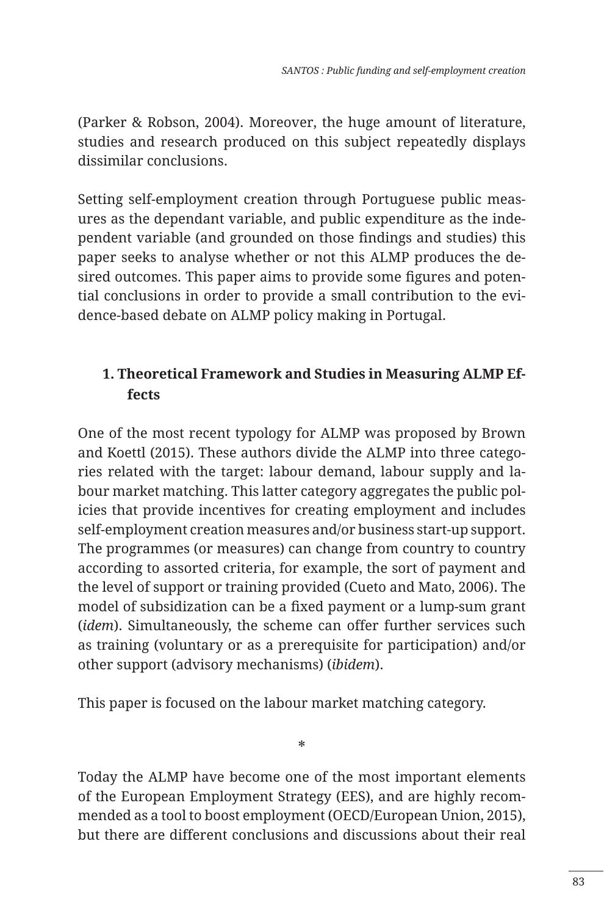(Parker & Robson, 2004). Moreover, the huge amount of literature, studies and research produced on this subject repeatedly displays dissimilar conclusions.

Setting self-employment creation through Portuguese public measures as the dependant variable, and public expenditure as the independent variable (and grounded on those findings and studies) this paper seeks to analyse whether or not this ALMP produces the desired outcomes. This paper aims to provide some figures and potential conclusions in order to provide a small contribution to the evidence-based debate on ALMP policy making in Portugal.

# **1. Theoretical Framework and Studies in Measuring ALMP Effects**

One of the most recent typology for ALMP was proposed by Brown and Koettl (2015). These authors divide the ALMP into three categories related with the target: labour demand, labour supply and labour market matching. This latter category aggregates the public policies that provide incentives for creating employment and includes self-employment creation measures and/or business start-up support. The programmes (or measures) can change from country to country according to assorted criteria, for example, the sort of payment and the level of support or training provided (Cueto and Mato, 2006). The model of subsidization can be a fixed payment or a lump-sum grant (*idem*). Simultaneously, the scheme can offer further services such as training (voluntary or as a prerequisite for participation) and/or other support (advisory mechanisms) (*ibidem*).

This paper is focused on the labour market matching category.

Today the ALMP have become one of the most important elements of the European Employment Strategy (EES), and are highly recommended as a tool to boost employment (OECD/European Union, 2015), but there are different conclusions and discussions about their real

\*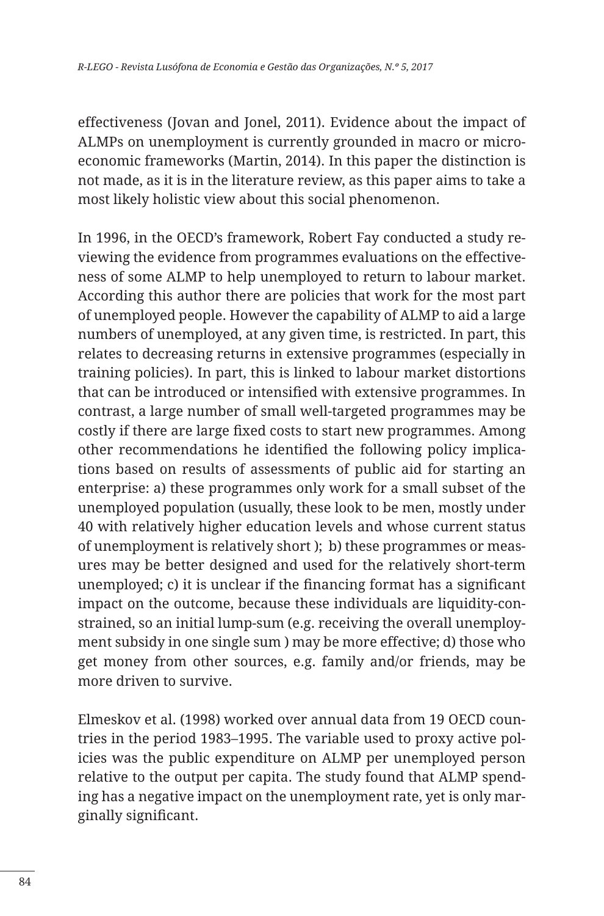effectiveness (Jovan and Jonel, 2011). Evidence about the impact of ALMPs on unemployment is currently grounded in macro or microeconomic frameworks (Martin, 2014). In this paper the distinction is not made, as it is in the literature review, as this paper aims to take a most likely holistic view about this social phenomenon.

In 1996, in the OECD's framework, Robert Fay conducted a study reviewing the evidence from programmes evaluations on the effectiveness of some ALMP to help unemployed to return to labour market. According this author there are policies that work for the most part of unemployed people. However the capability of ALMP to aid a large numbers of unemployed, at any given time, is restricted. In part, this relates to decreasing returns in extensive programmes (especially in training policies). In part, this is linked to labour market distortions that can be introduced or intensified with extensive programmes. In contrast, a large number of small well-targeted programmes may be costly if there are large fixed costs to start new programmes. Among other recommendations he identified the following policy implications based on results of assessments of public aid for starting an enterprise: a) these programmes only work for a small subset of the unemployed population (usually, these look to be men, mostly under 40 with relatively higher education levels and whose current status of unemployment is relatively short ); b) these programmes or measures may be better designed and used for the relatively short-term unemployed; c) it is unclear if the financing format has a significant impact on the outcome, because these individuals are liquidity-constrained, so an initial lump-sum (e.g. receiving the overall unemployment subsidy in one single sum ) may be more effective; d) those who get money from other sources, e.g. family and/or friends, may be more driven to survive.

Elmeskov et al. (1998) worked over annual data from 19 OECD countries in the period 1983–1995. The variable used to proxy active policies was the public expenditure on ALMP per unemployed person relative to the output per capita. The study found that ALMP spending has a negative impact on the unemployment rate, yet is only marginally significant.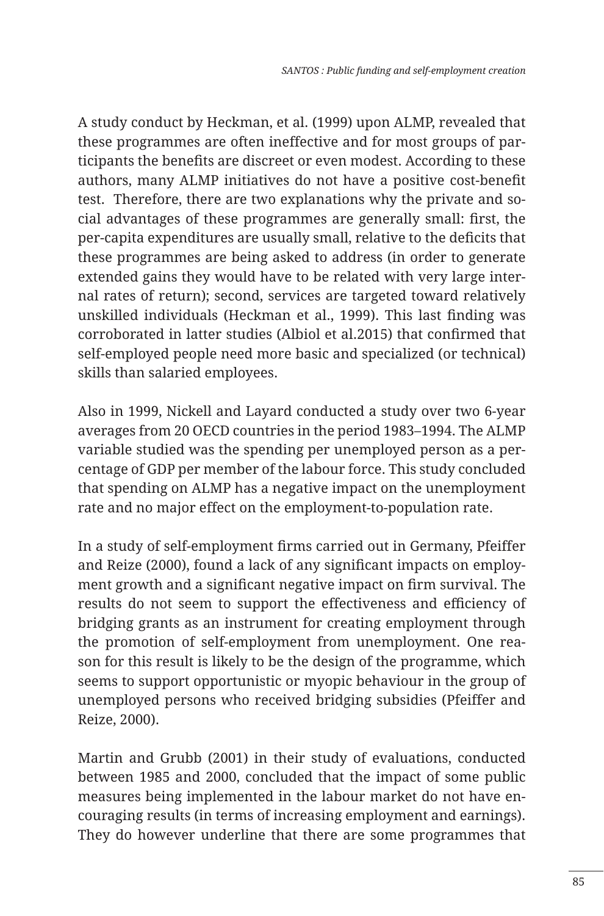A study conduct by Heckman, et al. (1999) upon ALMP, revealed that these programmes are often ineffective and for most groups of participants the benefits are discreet or even modest. According to these authors, many ALMP initiatives do not have a positive cost-benefit test. Therefore, there are two explanations why the private and social advantages of these programmes are generally small: first, the per-capita expenditures are usually small, relative to the deficits that these programmes are being asked to address (in order to generate extended gains they would have to be related with very large internal rates of return); second, services are targeted toward relatively unskilled individuals (Heckman et al., 1999). This last finding was corroborated in latter studies (Albiol et al.2015) that confirmed that self-employed people need more basic and specialized (or technical) skills than salaried employees.

Also in 1999, Nickell and Layard conducted a study over two 6-year averages from 20 OECD countries in the period 1983–1994. The ALMP variable studied was the spending per unemployed person as a percentage of GDP per member of the labour force. This study concluded that spending on ALMP has a negative impact on the unemployment rate and no major effect on the employment-to-population rate.

In a study of self-employment firms carried out in Germany, Pfeiffer and Reize (2000), found a lack of any significant impacts on employment growth and a significant negative impact on firm survival. The results do not seem to support the effectiveness and efficiency of bridging grants as an instrument for creating employment through the promotion of self-employment from unemployment. One reason for this result is likely to be the design of the programme, which seems to support opportunistic or myopic behaviour in the group of unemployed persons who received bridging subsidies (Pfeiffer and Reize, 2000).

Martin and Grubb (2001) in their study of evaluations, conducted between 1985 and 2000, concluded that the impact of some public measures being implemented in the labour market do not have encouraging results (in terms of increasing employment and earnings). They do however underline that there are some programmes that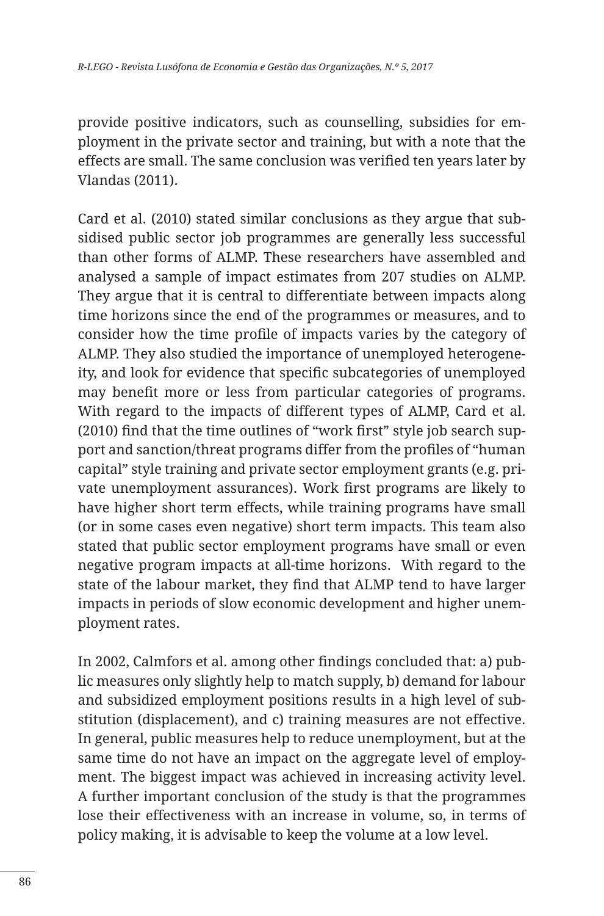provide positive indicators, such as counselling, subsidies for employment in the private sector and training, but with a note that the effects are small. The same conclusion was verified ten years later by Vlandas (2011).

Card et al. (2010) stated similar conclusions as they argue that subsidised public sector job programmes are generally less successful than other forms of ALMP. These researchers have assembled and analysed a sample of impact estimates from 207 studies on ALMP. They argue that it is central to differentiate between impacts along time horizons since the end of the programmes or measures, and to consider how the time profile of impacts varies by the category of ALMP. They also studied the importance of unemployed heterogeneity, and look for evidence that specific subcategories of unemployed may benefit more or less from particular categories of programs. With regard to the impacts of different types of ALMP, Card et al. (2010) find that the time outlines of "work first" style job search support and sanction/threat programs differ from the profiles of "human capital" style training and private sector employment grants (e.g. private unemployment assurances). Work first programs are likely to have higher short term effects, while training programs have small (or in some cases even negative) short term impacts. This team also stated that public sector employment programs have small or even negative program impacts at all-time horizons. With regard to the state of the labour market, they find that ALMP tend to have larger impacts in periods of slow economic development and higher unemployment rates.

In 2002, Calmfors et al. among other findings concluded that: a) public measures only slightly help to match supply, b) demand for labour and subsidized employment positions results in a high level of substitution (displacement), and c) training measures are not effective. In general, public measures help to reduce unemployment, but at the same time do not have an impact on the aggregate level of employment. The biggest impact was achieved in increasing activity level. A further important conclusion of the study is that the programmes lose their effectiveness with an increase in volume, so, in terms of policy making, it is advisable to keep the volume at a low level.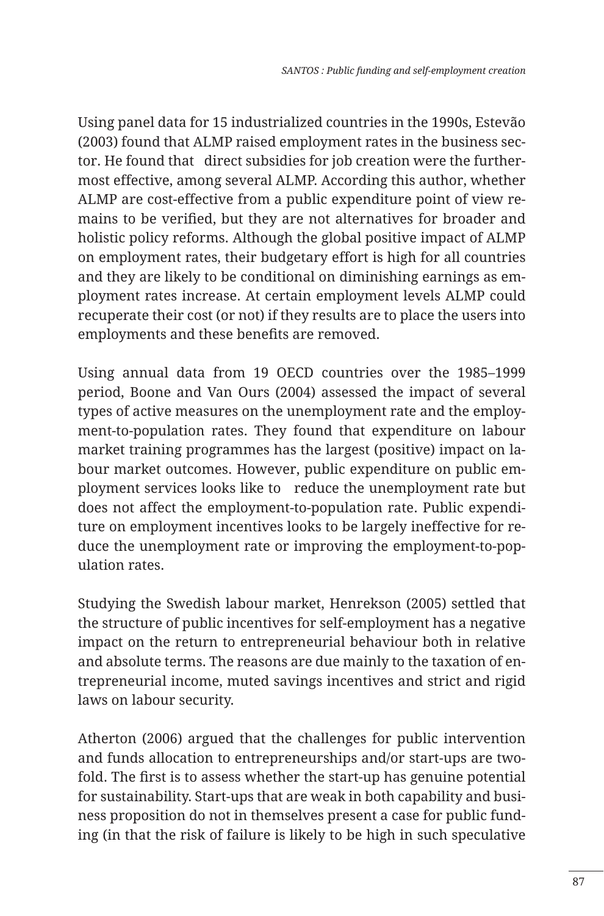Using panel data for 15 industrialized countries in the 1990s, Estevão (2003) found that ALMP raised employment rates in the business sector. He found that direct subsidies for job creation were the furthermost effective, among several ALMP. According this author, whether ALMP are cost-effective from a public expenditure point of view remains to be verified, but they are not alternatives for broader and holistic policy reforms. Although the global positive impact of ALMP on employment rates, their budgetary effort is high for all countries and they are likely to be conditional on diminishing earnings as employment rates increase. At certain employment levels ALMP could recuperate their cost (or not) if they results are to place the users into employments and these benefits are removed.

Using annual data from 19 OECD countries over the 1985–1999 period, Boone and Van Ours (2004) assessed the impact of several types of active measures on the unemployment rate and the employment-to-population rates. They found that expenditure on labour market training programmes has the largest (positive) impact on labour market outcomes. However, public expenditure on public employment services looks like to reduce the unemployment rate but does not affect the employment-to-population rate. Public expenditure on employment incentives looks to be largely ineffective for reduce the unemployment rate or improving the employment-to-population rates.

Studying the Swedish labour market, Henrekson (2005) settled that the structure of public incentives for self-employment has a negative impact on the return to entrepreneurial behaviour both in relative and absolute terms. The reasons are due mainly to the taxation of entrepreneurial income, muted savings incentives and strict and rigid laws on labour security.

Atherton (2006) argued that the challenges for public intervention and funds allocation to entrepreneurships and/or start-ups are twofold. The first is to assess whether the start-up has genuine potential for sustainability. Start-ups that are weak in both capability and business proposition do not in themselves present a case for public funding (in that the risk of failure is likely to be high in such speculative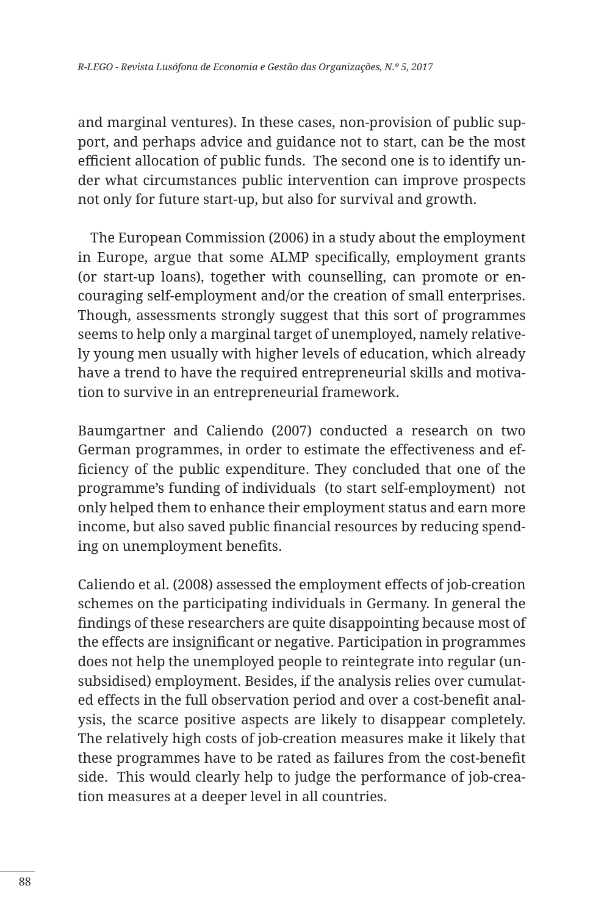and marginal ventures). In these cases, non-provision of public support, and perhaps advice and guidance not to start, can be the most efficient allocation of public funds. The second one is to identify under what circumstances public intervention can improve prospects not only for future start-up, but also for survival and growth.

 The European Commission (2006) in a study about the employment in Europe, argue that some ALMP specifically, employment grants (or start-up loans), together with counselling, can promote or encouraging self-employment and/or the creation of small enterprises. Though, assessments strongly suggest that this sort of programmes seems to help only a marginal target of unemployed, namely relatively young men usually with higher levels of education, which already have a trend to have the required entrepreneurial skills and motivation to survive in an entrepreneurial framework.

Baumgartner and Caliendo (2007) conducted a research on two German programmes, in order to estimate the effectiveness and efficiency of the public expenditure. They concluded that one of the programme's funding of individuals (to start self-employment) not only helped them to enhance their employment status and earn more income, but also saved public financial resources by reducing spending on unemployment benefits.

Caliendo et al. (2008) assessed the employment effects of job-creation schemes on the participating individuals in Germany. In general the findings of these researchers are quite disappointing because most of the effects are insignificant or negative. Participation in programmes does not help the unemployed people to reintegrate into regular (unsubsidised) employment. Besides, if the analysis relies over cumulated effects in the full observation period and over a cost-benefit analysis, the scarce positive aspects are likely to disappear completely. The relatively high costs of job-creation measures make it likely that these programmes have to be rated as failures from the cost-benefit side. This would clearly help to judge the performance of job-creation measures at a deeper level in all countries.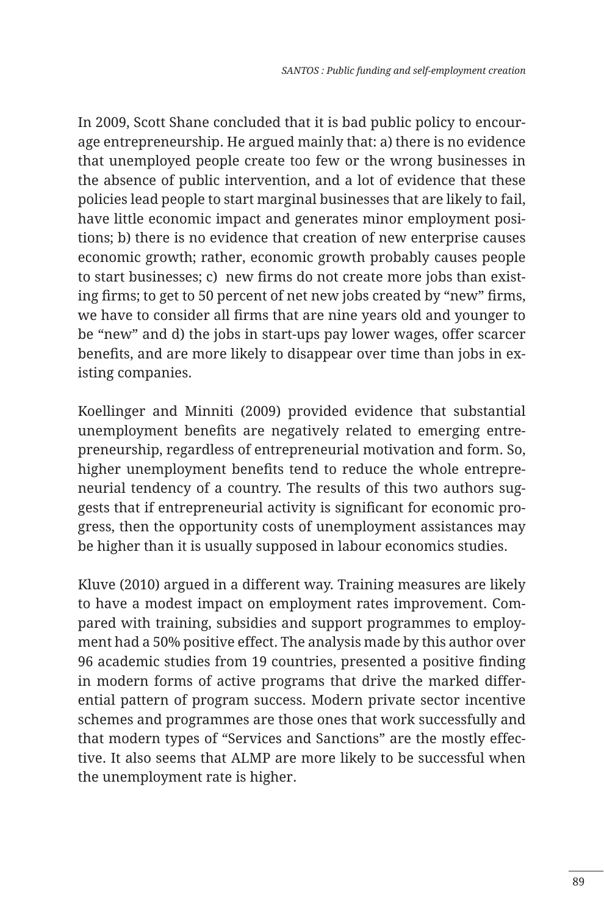In 2009, Scott Shane concluded that it is bad public policy to encourage entrepreneurship. He argued mainly that: a) there is no evidence that unemployed people create too few or the wrong businesses in the absence of public intervention, and a lot of evidence that these policies lead people to start marginal businesses that are likely to fail, have little economic impact and generates minor employment positions; b) there is no evidence that creation of new enterprise causes economic growth; rather, economic growth probably causes people to start businesses; c) new firms do not create more jobs than existing firms; to get to 50 percent of net new jobs created by "new" firms, we have to consider all firms that are nine years old and younger to be "new" and d) the jobs in start-ups pay lower wages, offer scarcer benefits, and are more likely to disappear over time than jobs in existing companies.

Koellinger and Minniti (2009) provided evidence that substantial unemployment benefits are negatively related to emerging entrepreneurship, regardless of entrepreneurial motivation and form. So, higher unemployment benefits tend to reduce the whole entrepreneurial tendency of a country. The results of this two authors suggests that if entrepreneurial activity is significant for economic progress, then the opportunity costs of unemployment assistances may be higher than it is usually supposed in labour economics studies.

Kluve (2010) argued in a different way. Training measures are likely to have a modest impact on employment rates improvement. Compared with training, subsidies and support programmes to employment had a 50% positive effect. The analysis made by this author over 96 academic studies from 19 countries, presented a positive finding in modern forms of active programs that drive the marked differential pattern of program success. Modern private sector incentive schemes and programmes are those ones that work successfully and that modern types of "Services and Sanctions" are the mostly effective. It also seems that ALMP are more likely to be successful when the unemployment rate is higher.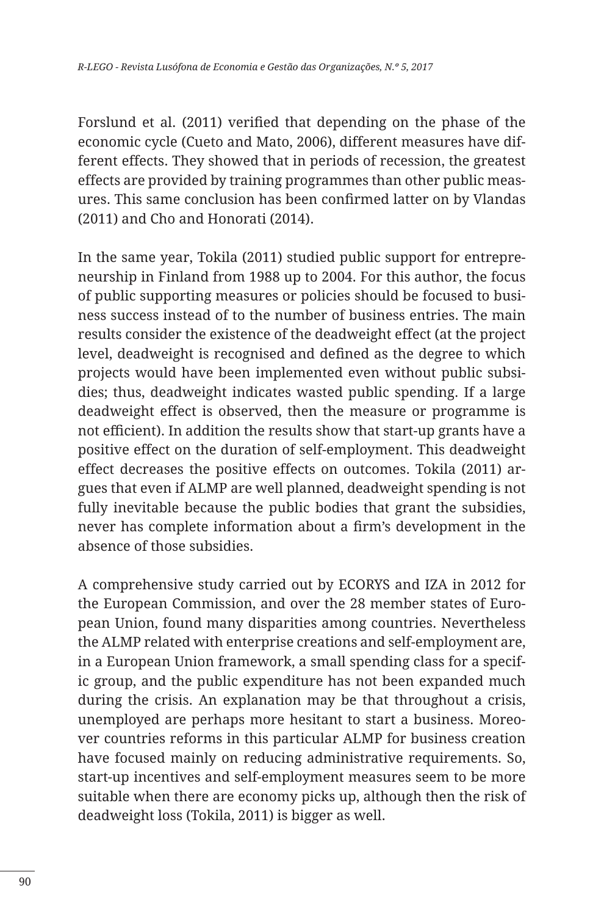Forslund et al. (2011) verified that depending on the phase of the economic cycle (Cueto and Mato, 2006), different measures have different effects. They showed that in periods of recession, the greatest effects are provided by training programmes than other public measures. This same conclusion has been confirmed latter on by Vlandas (2011) and Cho and Honorati (2014).

In the same year, Tokila (2011) studied public support for entrepreneurship in Finland from 1988 up to 2004. For this author, the focus of public supporting measures or policies should be focused to business success instead of to the number of business entries. The main results consider the existence of the deadweight effect (at the project level, deadweight is recognised and defined as the degree to which projects would have been implemented even without public subsidies; thus, deadweight indicates wasted public spending. If a large deadweight effect is observed, then the measure or programme is not efficient). In addition the results show that start-up grants have a positive effect on the duration of self-employment. This deadweight effect decreases the positive effects on outcomes. Tokila (2011) argues that even if ALMP are well planned, deadweight spending is not fully inevitable because the public bodies that grant the subsidies, never has complete information about a firm's development in the absence of those subsidies.

A comprehensive study carried out by ECORYS and IZA in 2012 for the European Commission, and over the 28 member states of European Union, found many disparities among countries. Nevertheless the ALMP related with enterprise creations and self-employment are, in a European Union framework, a small spending class for a specific group, and the public expenditure has not been expanded much during the crisis. An explanation may be that throughout a crisis, unemployed are perhaps more hesitant to start a business. Moreover countries reforms in this particular ALMP for business creation have focused mainly on reducing administrative requirements. So, start-up incentives and self-employment measures seem to be more suitable when there are economy picks up, although then the risk of deadweight loss (Tokila, 2011) is bigger as well.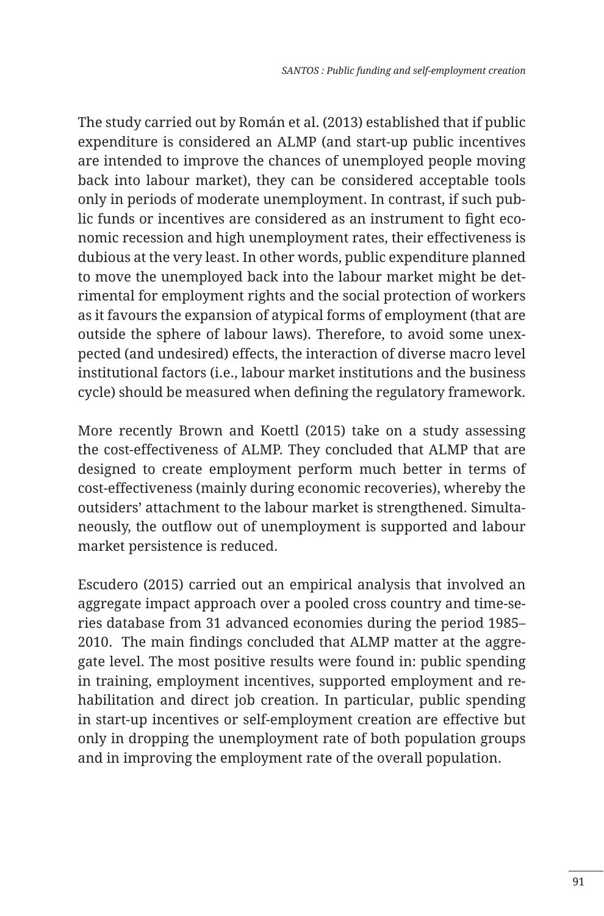The study carried out by Román et al. (2013) established that if public expenditure is considered an ALMP (and start-up public incentives are intended to improve the chances of unemployed people moving back into labour market), they can be considered acceptable tools only in periods of moderate unemployment. In contrast, if such public funds or incentives are considered as an instrument to fight economic recession and high unemployment rates, their effectiveness is dubious at the very least. In other words, public expenditure planned to move the unemployed back into the labour market might be detrimental for employment rights and the social protection of workers as it favours the expansion of atypical forms of employment (that are outside the sphere of labour laws). Therefore, to avoid some unexpected (and undesired) effects, the interaction of diverse macro level institutional factors (i.e., labour market institutions and the business cycle) should be measured when defining the regulatory framework.

More recently Brown and Koettl (2015) take on a study assessing the cost-effectiveness of ALMP. They concluded that ALMP that are designed to create employment perform much better in terms of cost-effectiveness (mainly during economic recoveries), whereby the outsiders' attachment to the labour market is strengthened. Simultaneously, the outflow out of unemployment is supported and labour market persistence is reduced.

Escudero (2015) carried out an empirical analysis that involved an aggregate impact approach over a pooled cross country and time-series database from 31 advanced economies during the period 1985– 2010. The main findings concluded that ALMP matter at the aggregate level. The most positive results were found in: public spending in training, employment incentives, supported employment and rehabilitation and direct job creation. In particular, public spending in start-up incentives or self-employment creation are effective but only in dropping the unemployment rate of both population groups and in improving the employment rate of the overall population.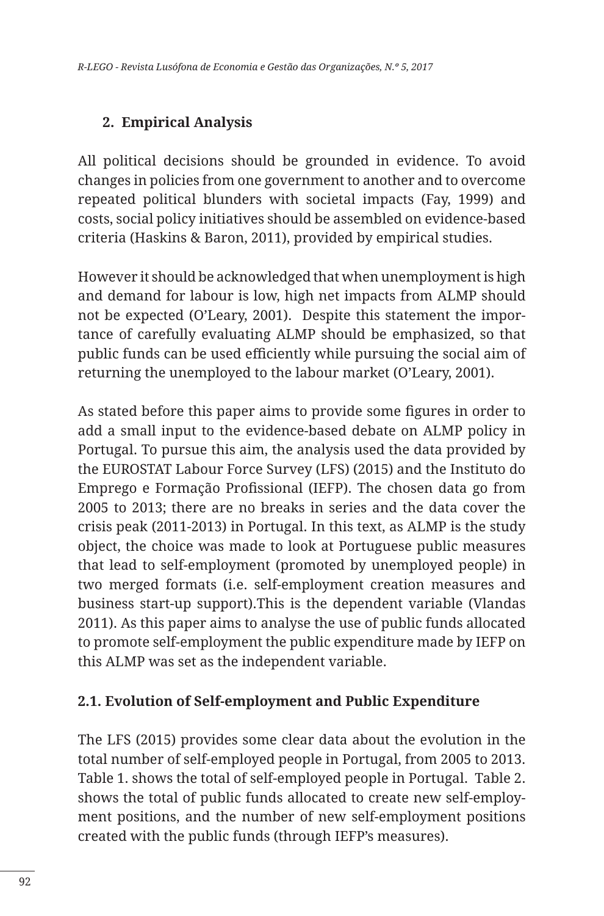## **2. Empirical Analysis**

All political decisions should be grounded in evidence. To avoid changes in policies from one government to another and to overcome repeated political blunders with societal impacts (Fay, 1999) and costs, social policy initiatives should be assembled on evidence-based criteria (Haskins & Baron, 2011), provided by empirical studies.

However it should be acknowledged that when unemployment is high and demand for labour is low, high net impacts from ALMP should not be expected (O'Leary, 2001). Despite this statement the importance of carefully evaluating ALMP should be emphasized, so that public funds can be used efficiently while pursuing the social aim of returning the unemployed to the labour market (O'Leary, 2001).

As stated before this paper aims to provide some figures in order to add a small input to the evidence-based debate on ALMP policy in Portugal. To pursue this aim, the analysis used the data provided by the EUROSTAT Labour Force Survey (LFS) (2015) and the Instituto do Emprego e Formação Profissional (IEFP). The chosen data go from 2005 to 2013; there are no breaks in series and the data cover the crisis peak (2011-2013) in Portugal. In this text, as ALMP is the study object, the choice was made to look at Portuguese public measures that lead to self-employment (promoted by unemployed people) in two merged formats (i.e. self-employment creation measures and business start-up support).This is the dependent variable (Vlandas 2011). As this paper aims to analyse the use of public funds allocated to promote self-employment the public expenditure made by IEFP on this ALMP was set as the independent variable.

#### **2.1. Evolution of Self-employment and Public Expenditure**

The LFS (2015) provides some clear data about the evolution in the total number of self-employed people in Portugal, from 2005 to 2013. Table 1. shows the total of self-employed people in Portugal. Table 2. shows the total of public funds allocated to create new self-employment positions, and the number of new self-employment positions created with the public funds (through IEFP's measures).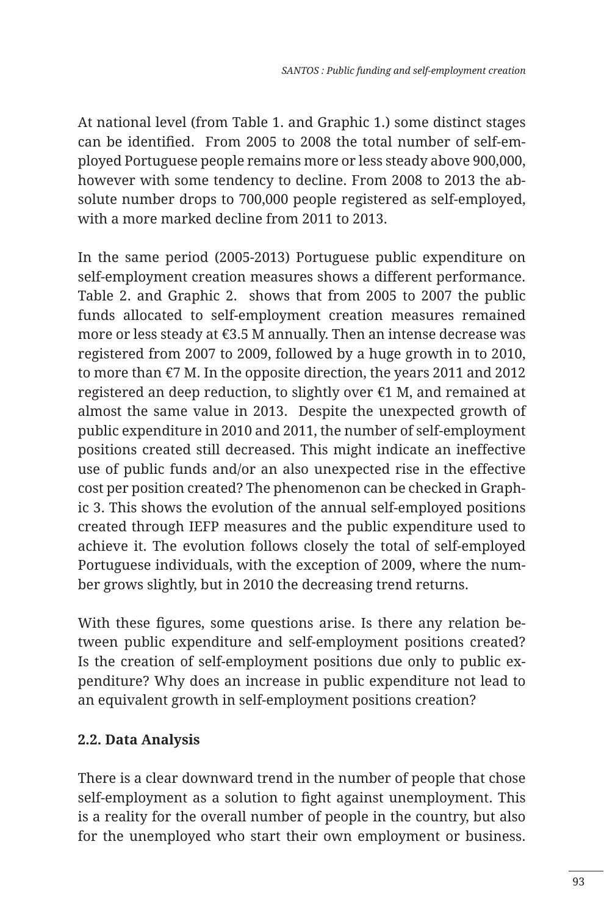At national level (from Table 1. and Graphic 1.) some distinct stages can be identified. From 2005 to 2008 the total number of self-employed Portuguese people remains more or less steady above 900,000, however with some tendency to decline. From 2008 to 2013 the absolute number drops to 700,000 people registered as self-employed, with a more marked decline from 2011 to 2013.

In the same period (2005-2013) Portuguese public expenditure on self-employment creation measures shows a different performance. Table 2. and Graphic 2. shows that from 2005 to 2007 the public funds allocated to self-employment creation measures remained more or less steady at €3.5 M annually. Then an intense decrease was registered from 2007 to 2009, followed by a huge growth in to 2010, to more than €7 M. In the opposite direction, the years 2011 and 2012 registered an deep reduction, to slightly over €1 M, and remained at almost the same value in 2013. Despite the unexpected growth of public expenditure in 2010 and 2011, the number of self-employment positions created still decreased. This might indicate an ineffective use of public funds and/or an also unexpected rise in the effective cost per position created? The phenomenon can be checked in Graphic 3. This shows the evolution of the annual self-employed positions created through IEFP measures and the public expenditure used to achieve it. The evolution follows closely the total of self-employed Portuguese individuals, with the exception of 2009, where the number grows slightly, but in 2010 the decreasing trend returns.

With these figures, some questions arise. Is there any relation between public expenditure and self-employment positions created? Is the creation of self-employment positions due only to public expenditure? Why does an increase in public expenditure not lead to an equivalent growth in self-employment positions creation?

## **2.2. Data Analysis**

There is a clear downward trend in the number of people that chose self-employment as a solution to fight against unemployment. This is a reality for the overall number of people in the country, but also for the unemployed who start their own employment or business.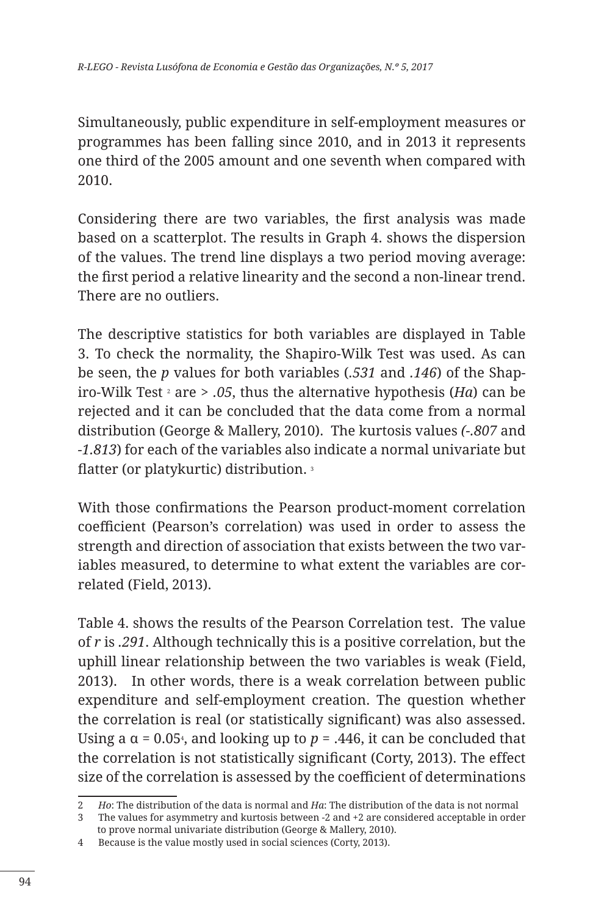Simultaneously, public expenditure in self-employment measures or programmes has been falling since 2010, and in 2013 it represents one third of the 2005 amount and one seventh when compared with 2010.

Considering there are two variables, the first analysis was made based on a scatterplot. The results in Graph 4. shows the dispersion of the values. The trend line displays a two period moving average: the first period a relative linearity and the second a non-linear trend. There are no outliers.

The descriptive statistics for both variables are displayed in Table 3. To check the normality, the Shapiro-Wilk Test was used. As can be seen, the *p* values for both variables (*.531* and *.146*) of the Shapiro-Wilk Test <sup>2</sup> are *> .05*, thus the alternative hypothesis (*Ha*) can be rejected and it can be concluded that the data come from a normal distribution (George & Mallery, 2010). The kurtosis values *(-.807* and *-1.813*) for each of the variables also indicate a normal univariate but flatter (or platykurtic) distribution. <sup>3</sup>

With those confirmations the Pearson product-moment correlation coefficient (Pearson's correlation) was used in order to assess the strength and direction of association that exists between the two variables measured, to determine to what extent the variables are correlated (Field, 2013).

Table 4. shows the results of the Pearson Correlation test. The value of *r* is *.291*. Although technically this is a positive correlation, but the uphill linear relationship between the two variables is weak (Field, 2013). In other words, there is a weak correlation between public expenditure and self-employment creation. The question whether the correlation is real (or statistically significant) was also assessed. Using a α = 0.05<sub>4</sub>, and looking up to  $p$  = .446, it can be concluded that the correlation is not statistically significant (Corty, 2013). The effect size of the correlation is assessed by the coefficient of determinations

<sup>2</sup> *Ho*: The distribution of the data is normal and *Ha*: The distribution of the data is not normal

<sup>3</sup> The values for asymmetry and kurtosis between -2 and +2 are considered acceptable in order to prove normal univariate distribution (George & Mallery, 2010).

<sup>4</sup> Because is the value mostly used in social sciences (Corty, 2013).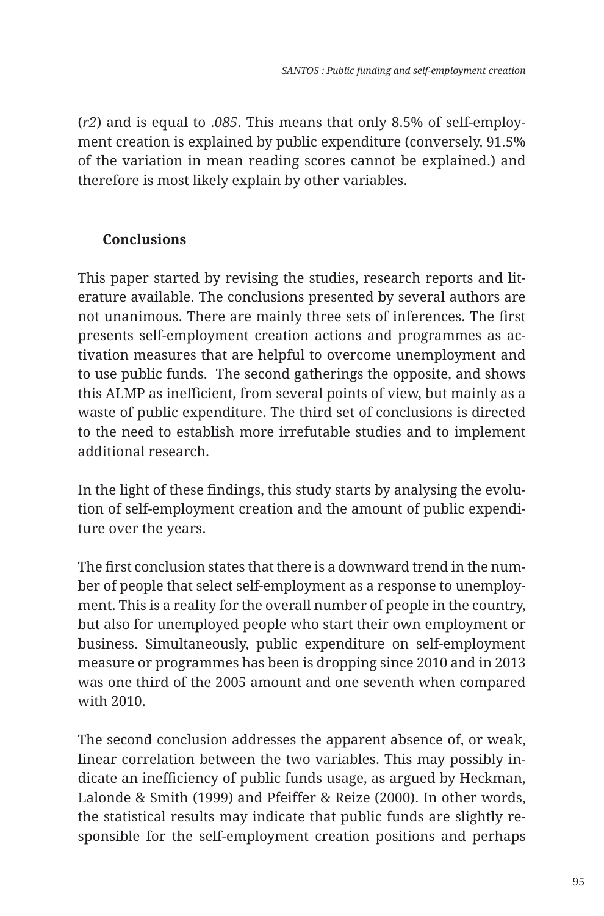(*r2*) and is equal to .*085*. This means that only 8.5% of self-employment creation is explained by public expenditure (conversely, 91.5% of the variation in mean reading scores cannot be explained.) and therefore is most likely explain by other variables.

# **Conclusions**

This paper started by revising the studies, research reports and literature available. The conclusions presented by several authors are not unanimous. There are mainly three sets of inferences. The first presents self-employment creation actions and programmes as activation measures that are helpful to overcome unemployment and to use public funds. The second gatherings the opposite, and shows this ALMP as inefficient, from several points of view, but mainly as a waste of public expenditure. The third set of conclusions is directed to the need to establish more irrefutable studies and to implement additional research.

In the light of these findings, this study starts by analysing the evolution of self-employment creation and the amount of public expenditure over the years.

The first conclusion states that there is a downward trend in the number of people that select self-employment as a response to unemployment. This is a reality for the overall number of people in the country, but also for unemployed people who start their own employment or business. Simultaneously, public expenditure on self-employment measure or programmes has been is dropping since 2010 and in 2013 was one third of the 2005 amount and one seventh when compared with 2010.

The second conclusion addresses the apparent absence of, or weak, linear correlation between the two variables. This may possibly indicate an inefficiency of public funds usage, as argued by Heckman, Lalonde & Smith (1999) and Pfeiffer & Reize (2000). In other words, the statistical results may indicate that public funds are slightly responsible for the self-employment creation positions and perhaps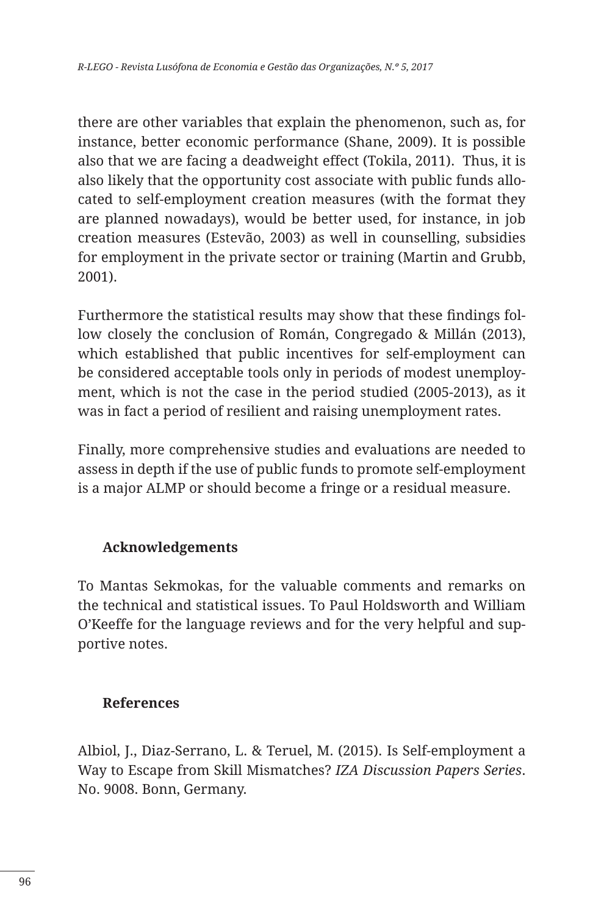there are other variables that explain the phenomenon, such as, for instance, better economic performance (Shane, 2009). It is possible also that we are facing a deadweight effect (Tokila, 2011). Thus, it is also likely that the opportunity cost associate with public funds allocated to self-employment creation measures (with the format they are planned nowadays), would be better used, for instance, in job creation measures (Estevão, 2003) as well in counselling, subsidies for employment in the private sector or training (Martin and Grubb, 2001).

Furthermore the statistical results may show that these findings follow closely the conclusion of Román, Congregado & Millán (2013), which established that public incentives for self-employment can be considered acceptable tools only in periods of modest unemployment, which is not the case in the period studied (2005-2013), as it was in fact a period of resilient and raising unemployment rates.

Finally, more comprehensive studies and evaluations are needed to assess in depth if the use of public funds to promote self-employment is a major ALMP or should become a fringe or a residual measure.

#### **Acknowledgements**

To Mantas Sekmokas, for the valuable comments and remarks on the technical and statistical issues. To Paul Holdsworth and William O'Keeffe for the language reviews and for the very helpful and supportive notes.

#### **References**

Albiol, J., Diaz-Serrano, L. & Teruel, M. (2015). Is Self-employment a Way to Escape from Skill Mismatches? *IZA Discussion Papers Series*. No. 9008. Bonn, Germany.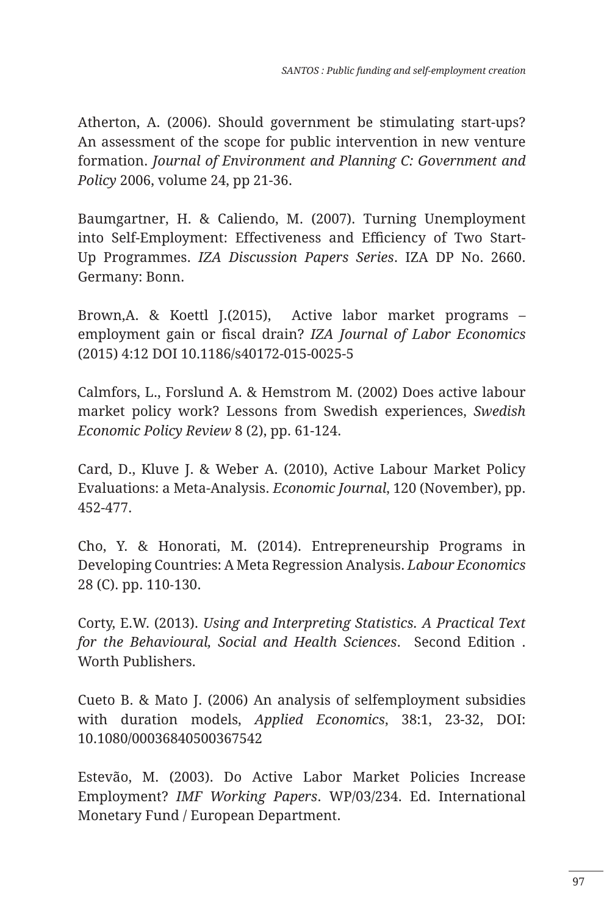Atherton, A. (2006). Should government be stimulating start-ups? An assessment of the scope for public intervention in new venture formation. *Journal of Environment and Planning C: Government and Policy* 2006, volume 24, pp 21-36.

Baumgartner, H. & Caliendo, M. (2007). Turning Unemployment into Self-Employment: Effectiveness and Efficiency of Two Start-Up Programmes. *IZA Discussion Papers Series*. IZA DP No. 2660. Germany: Bonn.

Brown,A. & Koettl J.(2015), Active labor market programs – employment gain or fiscal drain? *IZA Journal of Labor Economics* (2015) 4:12 DOI 10.1186/s40172-015-0025-5

Calmfors, L., Forslund A. & Hemstrom M. (2002) Does active labour market policy work? Lessons from Swedish experiences, *Swedish Economic Policy Review* 8 (2), pp. 61-124.

Card, D., Kluve J. & Weber A. (2010), Active Labour Market Policy Evaluations: a Meta-Analysis. *Economic Journal*, 120 (November), pp. 452-477.

Cho, Y. & Honorati, M. (2014). Entrepreneurship Programs in Developing Countries: A Meta Regression Analysis. *Labour Economics* 28 (C). pp. 110‐130.

Corty, E.W. (2013). *Using and Interpreting Statistics. A Practical Text for the Behavioural, Social and Health Sciences*. Second Edition . Worth Publishers.

Cueto B. & Mato J. (2006) An analysis of selfemployment subsidies with duration models, *Applied Economics*, 38:1, 23-32, DOI: 10.1080/00036840500367542

Estevão, M. (2003). Do Active Labor Market Policies Increase Employment? *IMF Working Papers*. WP/03/234. Ed. International Monetary Fund / European Department.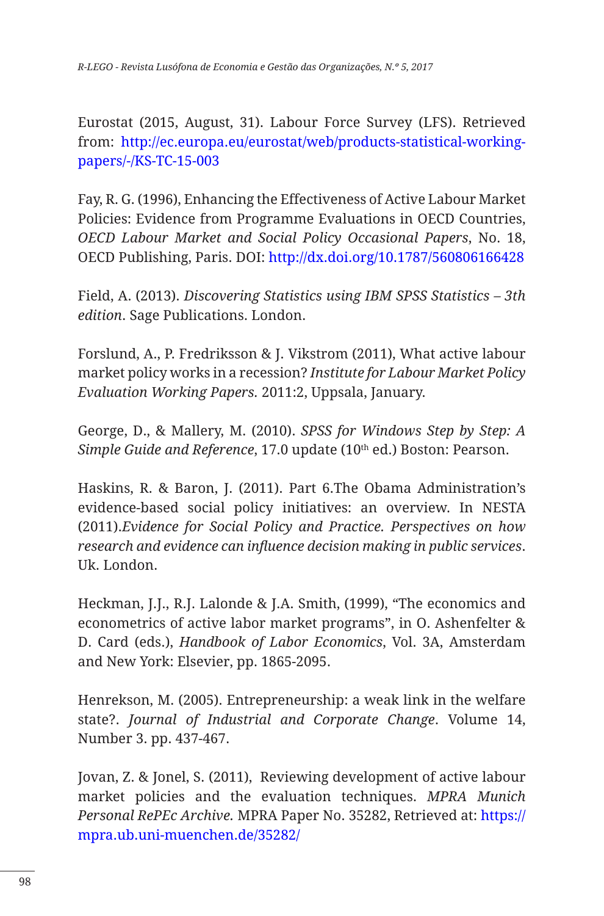Eurostat (2015, August, 31). Labour Force Survey (LFS). Retrieved from: http://ec.europa.eu/eurostat/web/products-statistical-workingpapers/-/KS-TC-15-003

Fay, R. G. (1996), Enhancing the Effectiveness of Active Labour Market Policies: Evidence from Programme Evaluations in OECD Countries, *OECD Labour Market and Social Policy Occasional Papers*, No. 18, OECD Publishing, Paris. DOI: http://dx.doi.org/10.1787/560806166428

Field, A. (2013). *Discovering Statistics using IBM SPSS Statistics – 3th edition*. Sage Publications. London.

Forslund, A., P. Fredriksson & J. Vikstrom (2011), What active labour market policy works in a recession? *Institute for Labour Market Policy Evaluation Working Papers.* 2011:2, Uppsala, January.

George, D., & Mallery, M. (2010). *SPSS for Windows Step by Step: A Simple Guide and Reference*, 17.0 update (10th ed.) Boston: Pearson.

Haskins, R. & Baron, J. (2011). Part 6.The Obama Administration's evidence-based social policy initiatives: an overview. In NESTA (2011).*Evidence for Social Policy and Practice. Perspectives on how research and evidence can influence decision making in public services*. Uk. London.

Heckman, J.J., R.J. Lalonde & J.A. Smith, (1999), "The economics and econometrics of active labor market programs", in O. Ashenfelter & D. Card (eds.), *Handbook of Labor Economics*, Vol. 3A, Amsterdam and New York: Elsevier, pp. 1865-2095.

Henrekson, M. (2005). Entrepreneurship: a weak link in the welfare state?. *Journal of Industrial and Corporate Change*. Volume 14, Number 3. pp. 437-467.

Jovan, Z. & Jonel, S. (2011), Reviewing development of active labour market policies and the evaluation techniques. *MPRA Munich Personal RePEc Archive.* MPRA Paper No. 35282, Retrieved at: https:// mpra.ub.uni-muenchen.de/35282/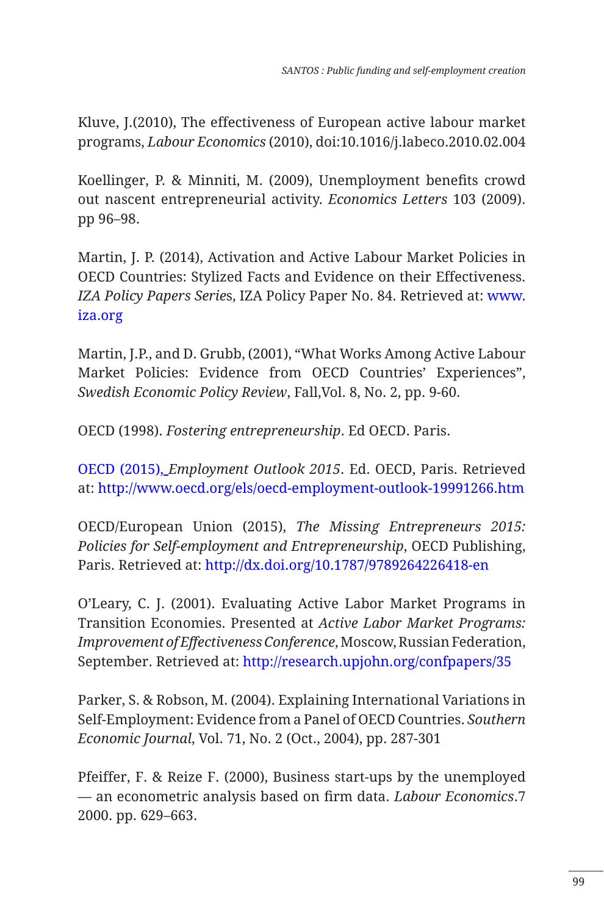Kluve, J.(2010), The effectiveness of European active labour market programs, *Labour Economics* (2010), doi:10.1016/j.labeco.2010.02.004

Koellinger, P. & Minniti, M. (2009), Unemployment benefits crowd out nascent entrepreneurial activity. *Economics Letters* 103 (2009). pp 96–98.

Martin, J. P. (2014), Activation and Active Labour Market Policies in OECD Countries: Stylized Facts and Evidence on their Effectiveness. *IZA Policy Papers Serie*s, IZA Policy Paper No. 84. Retrieved at: www. iza.org

Martin, J.P., and D. Grubb, (2001), "What Works Among Active Labour Market Policies: Evidence from OECD Countries' Experiences", *Swedish Economic Policy Review*, Fall,Vol. 8, No. 2, pp. 9-60.

OECD (1998). *Fostering entrepreneurship*. Ed OECD. Paris.

OECD (2015), *Employment Outlook 2015*. Ed. OECD, Paris. Retrieved at: http://www.oecd.org/els/oecd-employment-outlook-19991266.htm

OECD/European Union (2015), *The Missing Entrepreneurs 2015: Policies for Self-employment and Entrepreneurship*, OECD Publishing, Paris. Retrieved at: http://dx.doi.org/10.1787/9789264226418-en

O'Leary, C. J. (2001). Evaluating Active Labor Market Programs in Transition Economies. Presented at *Active Labor Market Programs: Improvement of Effectiveness Conference*, Moscow, Russian Federation, September. Retrieved at: http://research.upjohn.org/confpapers/35

Parker, S. & Robson, M. (2004). Explaining International Variations in Self-Employment: Evidence from a Panel of OECD Countries. *Southern Economic Journal*, Vol. 71, No. 2 (Oct., 2004), pp. 287-301

Pfeiffer, F. & Reize F. (2000), Business start-ups by the unemployed — an econometric analysis based on firm data. *Labour Economics*.7 2000. pp. 629–663.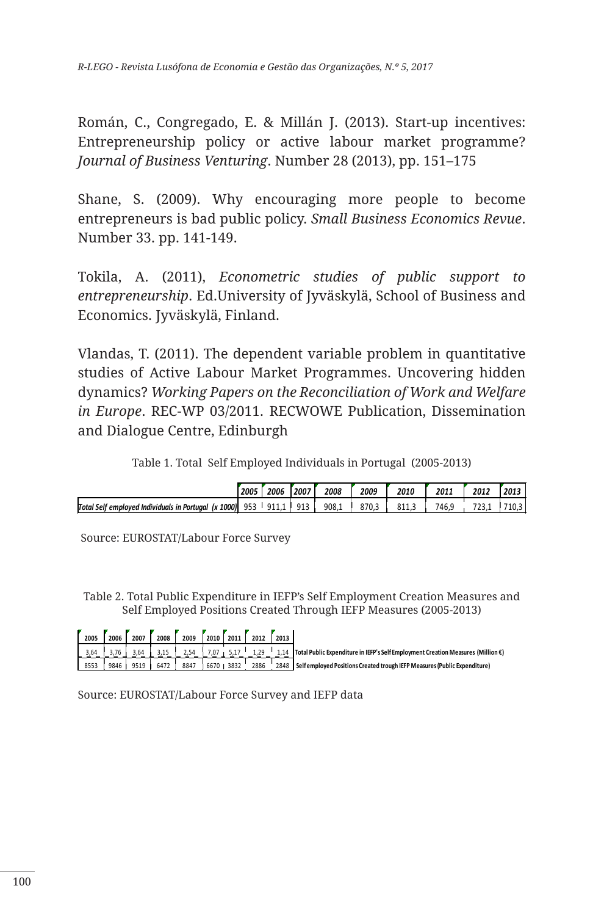Román, C., Congregado, E. & Millán J. (2013). Start-up incentives: Entrepreneurship policy or active labour market programme? *Journal of Business Venturing*. Number 28 (2013), pp. 151–175

Shane, S. (2009). Why encouraging more people to become entrepreneurs is bad public policy. *Small Business Economics Revue*. Number 33. pp. 141-149.

Tokila, A. (2011), *Econometric studies of public support to entrepreneurship*. Ed.University of Jyväskylä, School of Business and Economics. Jyväskylä, Finland.

Vlandas, T. (2011). The dependent variable problem in quantitative studies of Active Labour Market Programmes. Uncovering hidden dynamics? *Working Papers on the Reconciliation of Work and Welfare in Europe*. REC-WP 03/2011. RECWOWE Publication, Dissemination and Dialogue Centre, Edinburgh

Table 1. Total Self Employed Individuals in Portugal (2005-2013)

|                                                      | 2005 | 2006  | 2007 | 2008  | 2009  | 2010  | 2011  | 2012 | 2013  |
|------------------------------------------------------|------|-------|------|-------|-------|-------|-------|------|-------|
| Total Self emploved Individuals in Portugal (x 1000) | 953  | 911.1 | 913  | 908.1 | 870.3 | 811.3 | 746.9 |      | 710.3 |

Source: EUROSTAT/Labour Force Survey

Table 2. Total Public Expenditure in IEFP's Self Employment Creation Measures and Self Employed Positions Created Through IEFP Measures (2005-2013)

|      | 2005 | 2006 | 2007 | 2008 | 2009 | 2010 2011         |           | 2012 | 2013 |                                                                                       |
|------|------|------|------|------|------|-------------------|-----------|------|------|---------------------------------------------------------------------------------------|
|      | 3,64 |      |      |      | 2,54 | 7.07 <sub>1</sub> | 5.17      | 1,29 |      | 1.14 Total Public Expenditure in IEFP's Self Employment Creation Measures (Million €) |
| 8553 |      | 9846 | 9519 | 6472 | 8847 |                   | 6670 3832 | 2886 |      | 2848 Selfemployed Positions Created trough IEFP Measures (Public Expenditure)         |

Source: EUROSTAT/Labour Force Survey and IEFP data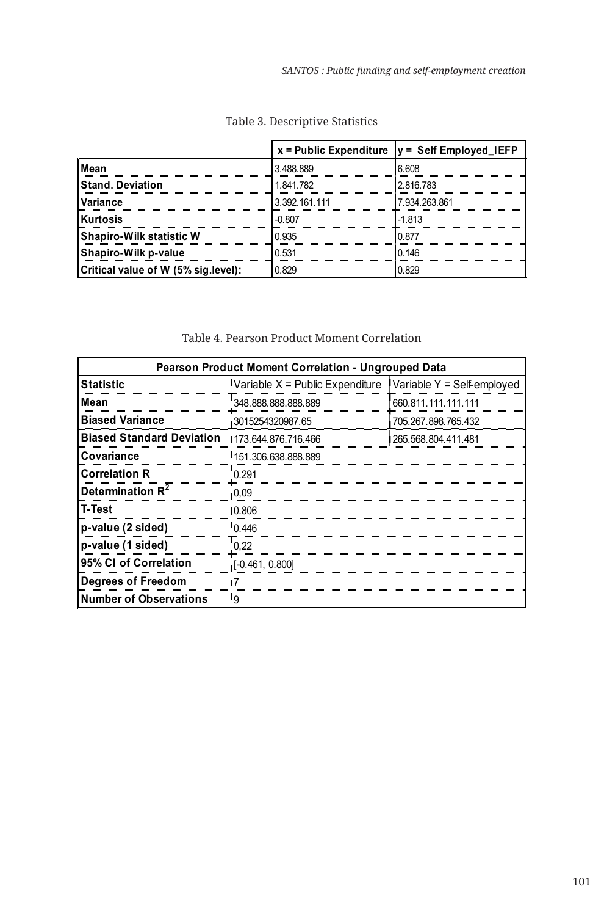|                                     |               | $x =$ Public Expenditure $ y  =$ Self Employed IEFP |
|-------------------------------------|---------------|-----------------------------------------------------|
| <b>Mean</b>                         | 3.488.889     | 6.608                                               |
| Stand. Deviation                    | 1.841.782     | 2.816.783                                           |
| <b>Variance</b>                     | 3.392.161.111 | 7.934.263.861                                       |
| Kurtosis                            | $-0.807$      | $-1.813$                                            |
| Shapiro-Wilk statistic W            | 0.935         | 0.877                                               |
| Shapiro-Wilk p-value                | 0.531         | 0.146                                               |
| Critical value of W (5% sig.level): | 0.829         | 0.829                                               |

Table 3. Descriptive Statistics

#### Table 4. Pearson Product Moment Correlation

| <b>Pearson Product Moment Correlation - Ungrouped Data</b> |                                                                |                      |  |  |  |  |  |
|------------------------------------------------------------|----------------------------------------------------------------|----------------------|--|--|--|--|--|
| <b>Statistic</b>                                           | Variable $X =$ Public Expenditure Variable $Y =$ Self-employed |                      |  |  |  |  |  |
| Mean                                                       | 348.888.888.888.889                                            | 660.811.111.111.111  |  |  |  |  |  |
| <b>Biased Variance</b>                                     | 3015254320987.65                                               | 705.267.898.765.432  |  |  |  |  |  |
| <b>Biased Standard Deviation</b>                           | 173.644.876.716.466                                            | 1265.568.804.411.481 |  |  |  |  |  |
| Covariance                                                 | 151.306.638.888.889                                            |                      |  |  |  |  |  |
| <b>Correlation R</b>                                       | 0.291                                                          |                      |  |  |  |  |  |
| Determination R <sup>2</sup>                               | 0,09                                                           |                      |  |  |  |  |  |
| <b>T-Test</b>                                              | 0.806                                                          |                      |  |  |  |  |  |
| p-value (2 sided)                                          | 0.446                                                          |                      |  |  |  |  |  |
| p-value (1 sided)                                          | 0,22                                                           |                      |  |  |  |  |  |
| 95% CI of Correlation                                      | $[-0.461, 0.800]$                                              |                      |  |  |  |  |  |
| <b>Degrees of Freedom</b>                                  | 7                                                              |                      |  |  |  |  |  |
| <b>Number of Observations</b>                              | l 9                                                            |                      |  |  |  |  |  |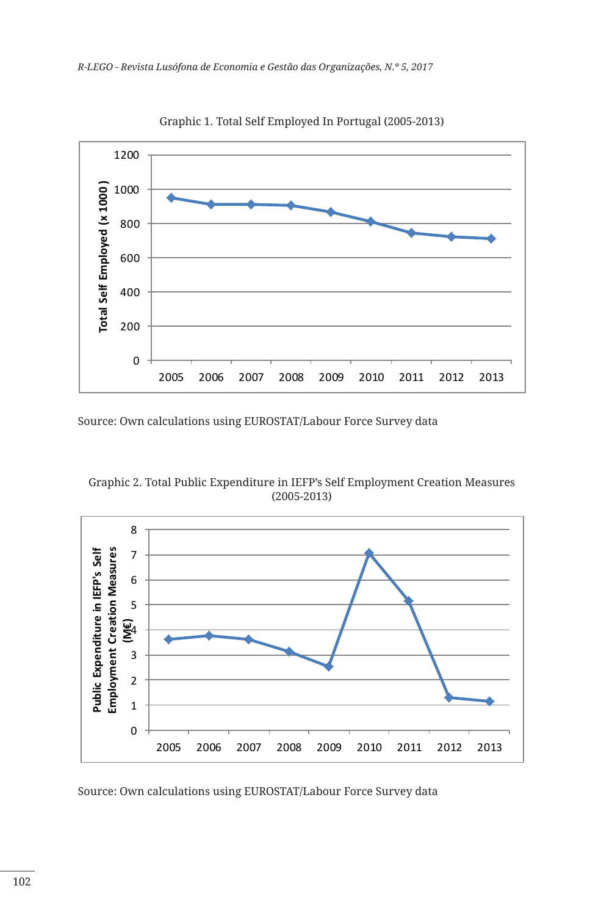

Graphic 1. Total Self Employed In Portugal (2005-2013)

Source: Own calculations using EUROSTAT/Labour Force Survey data





Source: Own calculations using EUROSTAT/Labour Force Survey data